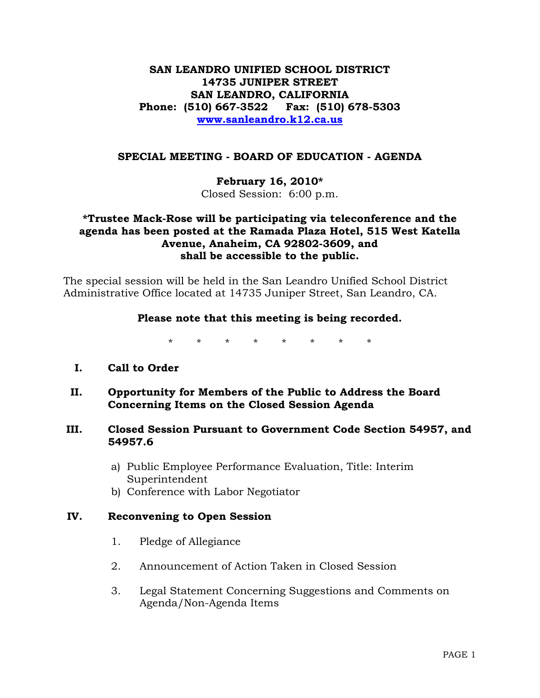# **SAN LEANDRO UNIFIED SCHOOL DISTRICT 14735 JUNIPER STREET SAN LEANDRO, CALIFORNIA Phone: (510) 667-3522 Fax: (510) 678-5303 [www.sanleandro.k12.ca.us](http://www.sanleandro.k12.ca.us/)**

## **SPECIAL MEETING - BOARD OF EDUCATION - AGENDA**

**February 16, 2010\***  Closed Session: 6:00 p.m.

## **\*Trustee Mack-Rose will be participating via teleconference and the agenda has been posted at the Ramada Plaza Hotel, 515 West Katella Avenue, Anaheim, CA 92802-3609, and shall be accessible to the public.**

The special session will be held in the San Leandro Unified School District Administrative Office located at 14735 Juniper Street, San Leandro, CA.

#### **Please note that this meeting is being recorded.**

\* \* \* \* \* \* \* \*

#### **I. Call to Order**

**II. Opportunity for Members of the Public to Address the Board Concerning Items on the Closed Session Agenda** 

## **III. Closed Session Pursuant to Government Code Section 54957, and 54957.6**

- a) Public Employee Performance Evaluation, Title: Interim Superintendent
- b) Conference with Labor Negotiator

#### **IV. Reconvening to Open Session**

- 1. Pledge of Allegiance
- 2. Announcement of Action Taken in Closed Session
- 3. Legal Statement Concerning Suggestions and Comments on Agenda/Non-Agenda Items